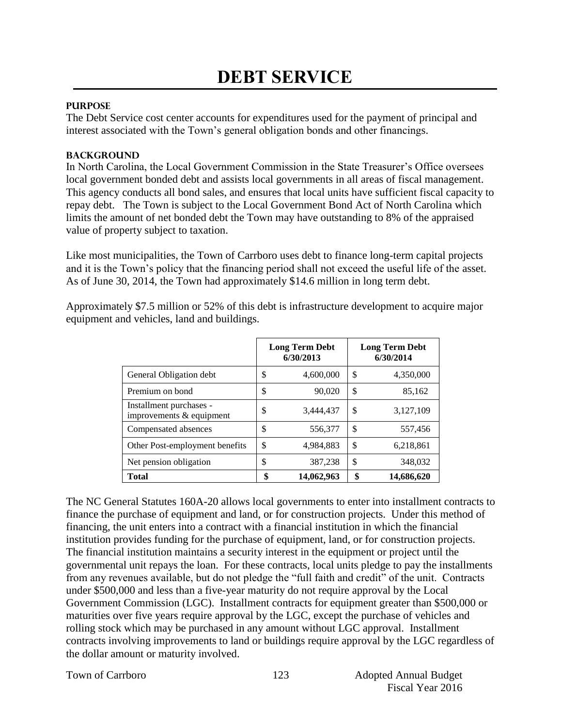### **PURPOSE**

The Debt Service cost center accounts for expenditures used for the payment of principal and interest associated with the Town's general obligation bonds and other financings.

#### **BACKGROUND**

In North Carolina, the Local Government Commission in the State Treasurer's Office oversees local government bonded debt and assists local governments in all areas of fiscal management. This agency conducts all bond sales, and ensures that local units have sufficient fiscal capacity to repay debt. The Town is subject to the Local Government Bond Act of North Carolina which limits the amount of net bonded debt the Town may have outstanding to 8% of the appraised value of property subject to taxation.

Like most municipalities, the Town of Carrboro uses debt to finance long-term capital projects and it is the Town's policy that the financing period shall not exceed the useful life of the asset. As of June 30, 2014, the Town had approximately \$14.6 million in long term debt.

Approximately \$7.5 million or 52% of this debt is infrastructure development to acquire major equipment and vehicles, land and buildings.

|                                                       | <b>Long Term Debt</b><br>6/30/2013 | <b>Long Term Debt</b><br>6/30/2014 |
|-------------------------------------------------------|------------------------------------|------------------------------------|
| General Obligation debt                               | \$<br>4,600,000                    | \$<br>4,350,000                    |
| Premium on bond                                       | \$<br>90,020                       | \$<br>85,162                       |
| Installment purchases -<br>improvements $&$ equipment | \$<br>3.444.437                    | \$<br>3,127,109                    |
| Compensated absences                                  | \$<br>556,377                      | \$<br>557,456                      |
| Other Post-employment benefits                        | \$<br>4,984,883                    | \$<br>6,218,861                    |
| Net pension obligation                                | \$<br>387,238                      | \$<br>348,032                      |
| <b>Total</b>                                          | \$<br>14,062,963                   | 14,686,620                         |

The NC General Statutes 160A-20 allows local governments to enter into installment contracts to finance the purchase of equipment and land, or for construction projects. Under this method of financing, the unit enters into a contract with a financial institution in which the financial institution provides funding for the purchase of equipment, land, or for construction projects. The financial institution maintains a security interest in the equipment or project until the governmental unit repays the loan. For these contracts, local units pledge to pay the installments from any revenues available, but do not pledge the "full faith and credit" of the unit. Contracts under \$500,000 and less than a five-year maturity do not require approval by the Local Government Commission (LGC). Installment contracts for equipment greater than \$500,000 or maturities over five years require approval by the LGC, except the purchase of vehicles and rolling stock which may be purchased in any amount without LGC approval. Installment contracts involving improvements to land or buildings require approval by the LGC regardless of the dollar amount or maturity involved.